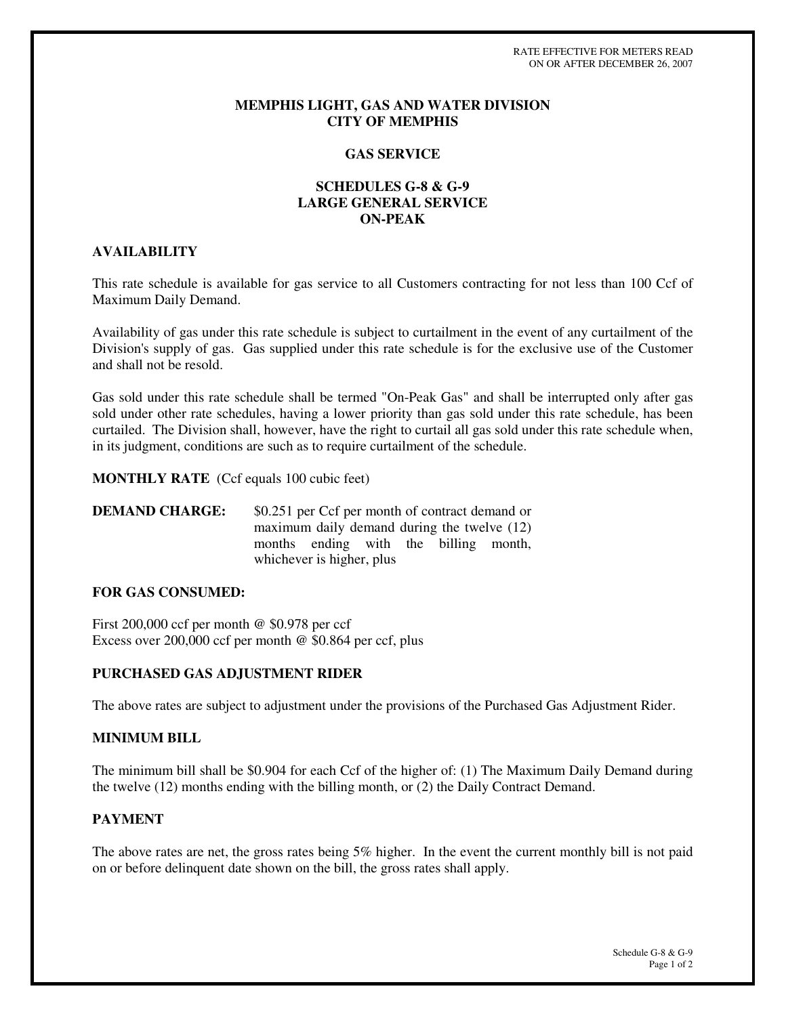RATE EFFECTIVE FOR METERS READ ON OR AFTER DECEMBER 26, 2007

#### **MEMPHIS LIGHT, GAS AND WATER DIVISION CITY OF MEMPHIS**

## **GAS SERVICE**

## **SCHEDULES G-8 & G-9 LARGE GENERAL SERVICE ON-PEAK**

#### **AVAILABILITY**

This rate schedule is available for gas service to all Customers contracting for not less than 100 Ccf of Maximum Daily Demand.

Availability of gas under this rate schedule is subject to curtailment in the event of any curtailment of the Division's supply of gas. Gas supplied under this rate schedule is for the exclusive use of the Customer and shall not be resold.

Gas sold under this rate schedule shall be termed "On-Peak Gas" and shall be interrupted only after gas sold under other rate schedules, having a lower priority than gas sold under this rate schedule, has been curtailed. The Division shall, however, have the right to curtail all gas sold under this rate schedule when, in its judgment, conditions are such as to require curtailment of the schedule.

**MONTHLY RATE** (Ccf equals 100 cubic feet)

**DEMAND CHARGE:** \$0.251 per Ccf per month of contract demand or maximum daily demand during the twelve (12) months ending with the billing month, whichever is higher, plus

# **FOR GAS CONSUMED:**

First 200,000 ccf per month @ \$0.978 per ccf Excess over 200,000 ccf per month @ \$0.864 per ccf, plus

## **PURCHASED GAS ADJUSTMENT RIDER**

The above rates are subject to adjustment under the provisions of the Purchased Gas Adjustment Rider.

#### **MINIMUM BILL**

The minimum bill shall be \$0.904 for each Ccf of the higher of: (1) The Maximum Daily Demand during the twelve (12) months ending with the billing month, or (2) the Daily Contract Demand.

## **PAYMENT**

The above rates are net, the gross rates being 5% higher. In the event the current monthly bill is not paid on or before delinquent date shown on the bill, the gross rates shall apply.